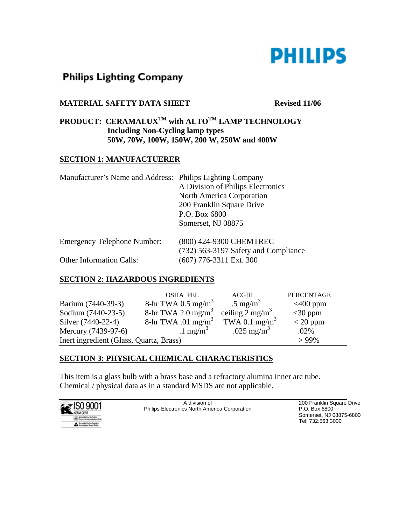

# **Philips Lighting Company**

### **MATERIAL SAFETY DATA SHEET** Revised 11/06

# PRODUCT: CERAMALUX<sup>TM</sup> with ALTO<sup>TM</sup> LAMP TECHNOLOGY **Including Non-Cycling lamp types 50W, 70W, 100W, 150W, 200 W, 250W and 400W**

#### **SECTION 1: MANUFACTUERER**

| Manufacturer's Name and Address: Philips Lighting Company |                                      |  |
|-----------------------------------------------------------|--------------------------------------|--|
|                                                           | A Division of Philips Electronics    |  |
|                                                           | North America Corporation            |  |
|                                                           | 200 Franklin Square Drive            |  |
|                                                           | P.O. Box 6800                        |  |
|                                                           | Somerset, NJ 08875                   |  |
| <b>Emergency Telephone Number:</b>                        | (800) 424-9300 CHEMTREC              |  |
|                                                           | (732) 563-3197 Safety and Compliance |  |
| <b>Other Information Calls:</b>                           | $(607)$ 776-3311 Ext. 300            |  |

### **SECTION 2: HAZARDOUS INGREDIENTS**

|                                         | <b>OSHA PEL</b>                | <b>ACGIH</b>               | <b>PERCENTAGE</b> |
|-----------------------------------------|--------------------------------|----------------------------|-------------------|
| Barium (7440-39-3)                      | 8-hr TWA 0.5 mg/m <sup>3</sup> | .5 mg/m <sup>3</sup>       | $<$ 400 ppm       |
| Sodium (7440-23-5)                      | 8-hr TWA 2.0 mg/m <sup>3</sup> | ceiling $2 \text{ mg/m}^3$ | $<$ 30 ppm        |
| Silver (7440-22-4)                      | 8-hr TWA .01 mg/m <sup>3</sup> | TWA 0.1 mg/m <sup>3</sup>  | $<$ 20 ppm        |
| Mercury (7439-97-6)                     | $1 \text{ mg/m}^3$             | .025 mg/m <sup>3</sup>     | .02%              |
| Inert ingredient (Glass, Quartz, Brass) |                                |                            | $>99\%$           |

# **SECTION 3: PHYSICAL CHEMICAL CHARACTERISTICS**

This item is a glass bulb with a brass base and a refractory alumina inner arc tube. Chemical / physical data as in a standard MSDS are not applicable.

|                      | A division of                                        | 200 Franklin Square Drive |
|----------------------|------------------------------------------------------|---------------------------|
| $\mathbb{R}$ SO 9001 | <b>Philips Electronics North America Corporation</b> | P.O. Box 6800             |
| <b>NEMA DERT</b>     |                                                      | Somerset, NJ 08875-6800   |
|                      |                                                      | Tel: 732.563.3000         |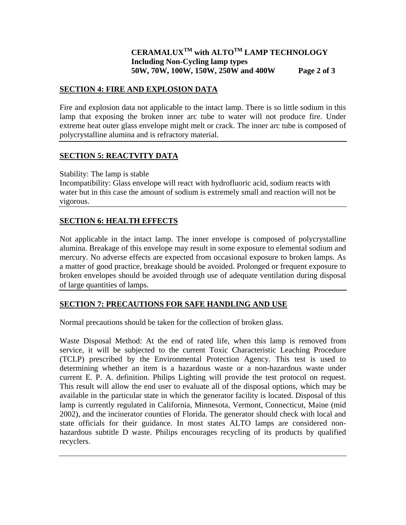## **CERAMALUXTM with ALTOTM LAMP TECHNOLOGY Including Non-Cycling lamp types 50W, 70W, 100W, 150W, 250W and 400W Page 2 of 3**

#### **SECTION 4: FIRE AND EXPLOSION DATA**

Fire and explosion data not applicable to the intact lamp. There is so little sodium in this lamp that exposing the broken inner arc tube to water will not produce fire. Under extreme heat outer glass envelope might melt or crack. The inner arc tube is composed of polycrystalline alumina and is refractory material.

#### **SECTION 5: REACTVITY DATA**

Stability: The lamp is stable

Incompatibility: Glass envelope will react with hydrofluoric acid, sodium reacts with water but in this case the amount of sodium is extremely small and reaction will not be vigorous.

### **SECTION 6: HEALTH EFFECTS**

Not applicable in the intact lamp. The inner envelope is composed of polycrystalline alumina. Breakage of this envelope may result in some exposure to elemental sodium and mercury. No adverse effects are expected from occasional exposure to broken lamps. As a matter of good practice, breakage should be avoided. Prolonged or frequent exposure to broken envelopes should be avoided through use of adequate ventilation during disposal of large quantities of lamps.

#### **SECTION 7: PRECAUTIONS FOR SAFE HANDLING AND USE**

Normal precautions should be taken for the collection of broken glass.

Waste Disposal Method: At the end of rated life, when this lamp is removed from service, it will be subjected to the current Toxic Characteristic Leaching Procedure (TCLP) prescribed by the Environmental Protection Agency. This test is used to determining whether an item is a hazardous waste or a non-hazardous waste under current E. P. A. definition. Philips Lighting will provide the test protocol on request. This result will allow the end user to evaluate all of the disposal options, which may be available in the particular state in which the generator facility is located. Disposal of this lamp is currently regulated in California, Minnesota, Vermont, Connecticut, Maine (mid 2002), and the incinerator counties of Florida. The generator should check with local and state officials for their guidance. In most states ALTO lamps are considered nonhazardous subtitle D waste. Philips encourages recycling of its products by qualified recyclers.